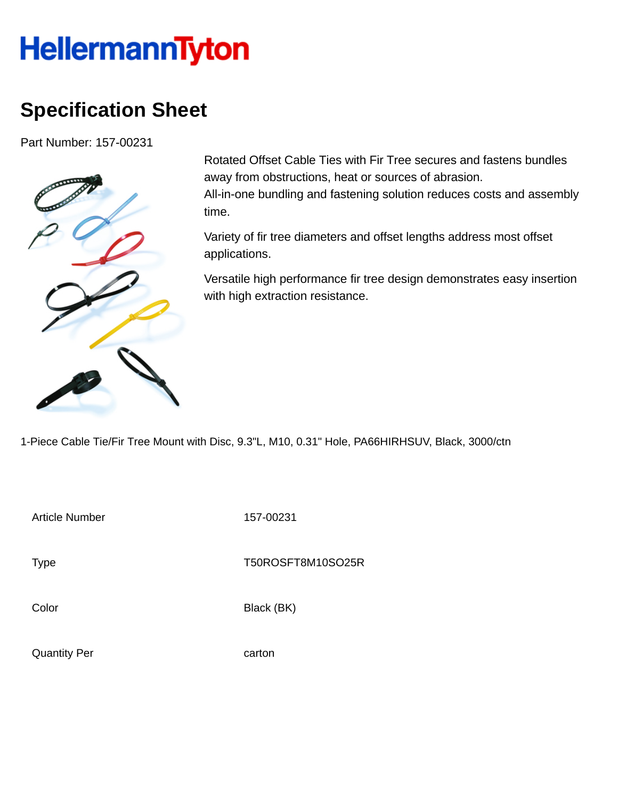## **HellermannTyton**

## **Specification Sheet**

Part Number: 157-00231



Rotated Offset Cable Ties with Fir Tree secures and fastens bundles away from obstructions, heat or sources of abrasion. All-in-one bundling and fastening solution reduces costs and assembly time.

Variety of fir tree diameters and offset lengths address most offset applications.

Versatile high performance fir tree design demonstrates easy insertion with high extraction resistance.

1-Piece Cable Tie/Fir Tree Mount with Disc, 9.3"L, M10, 0.31" Hole, PA66HIRHSUV, Black, 3000/ctn

Article Number 157-00231

Type Type T50ROSFT8M10SO25R

Color Black (BK)

Quantity Per carton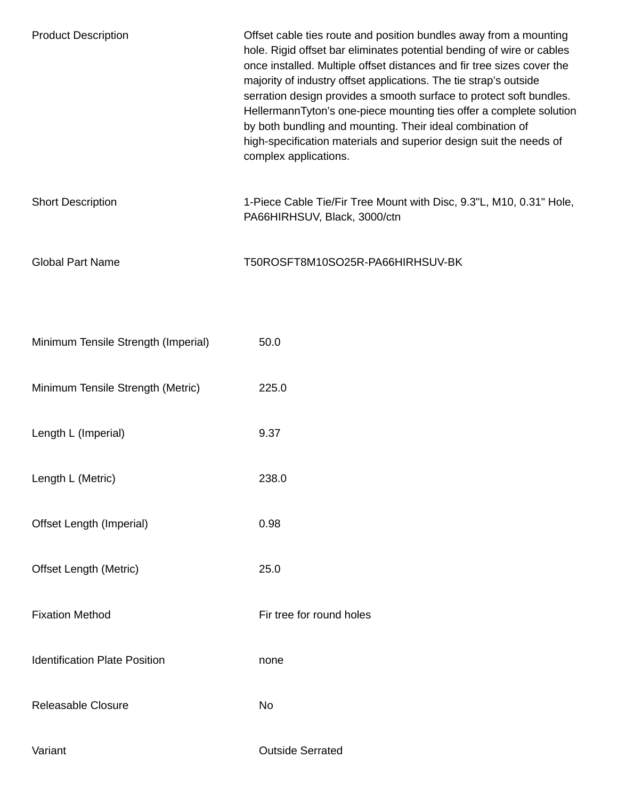| <b>Product Description</b>           | Offset cable ties route and position bundles away from a mounting<br>hole. Rigid offset bar eliminates potential bending of wire or cables<br>once installed. Multiple offset distances and fir tree sizes cover the<br>majority of industry offset applications. The tie strap's outside<br>serration design provides a smooth surface to protect soft bundles.<br>HellermannTyton's one-piece mounting ties offer a complete solution<br>by both bundling and mounting. Their ideal combination of<br>high-specification materials and superior design suit the needs of<br>complex applications. |
|--------------------------------------|-----------------------------------------------------------------------------------------------------------------------------------------------------------------------------------------------------------------------------------------------------------------------------------------------------------------------------------------------------------------------------------------------------------------------------------------------------------------------------------------------------------------------------------------------------------------------------------------------------|
| <b>Short Description</b>             | 1-Piece Cable Tie/Fir Tree Mount with Disc, 9.3"L, M10, 0.31" Hole,<br>PA66HIRHSUV, Black, 3000/ctn                                                                                                                                                                                                                                                                                                                                                                                                                                                                                                 |
| <b>Global Part Name</b>              | T50ROSFT8M10SO25R-PA66HIRHSUV-BK                                                                                                                                                                                                                                                                                                                                                                                                                                                                                                                                                                    |
|                                      |                                                                                                                                                                                                                                                                                                                                                                                                                                                                                                                                                                                                     |
| Minimum Tensile Strength (Imperial)  | 50.0                                                                                                                                                                                                                                                                                                                                                                                                                                                                                                                                                                                                |
| Minimum Tensile Strength (Metric)    | 225.0                                                                                                                                                                                                                                                                                                                                                                                                                                                                                                                                                                                               |
| Length L (Imperial)                  | 9.37                                                                                                                                                                                                                                                                                                                                                                                                                                                                                                                                                                                                |
| Length L (Metric)                    | 238.0                                                                                                                                                                                                                                                                                                                                                                                                                                                                                                                                                                                               |
| Offset Length (Imperial)             | 0.98                                                                                                                                                                                                                                                                                                                                                                                                                                                                                                                                                                                                |
| <b>Offset Length (Metric)</b>        | 25.0                                                                                                                                                                                                                                                                                                                                                                                                                                                                                                                                                                                                |
| <b>Fixation Method</b>               | Fir tree for round holes                                                                                                                                                                                                                                                                                                                                                                                                                                                                                                                                                                            |
| <b>Identification Plate Position</b> | none                                                                                                                                                                                                                                                                                                                                                                                                                                                                                                                                                                                                |
| Releasable Closure                   | No                                                                                                                                                                                                                                                                                                                                                                                                                                                                                                                                                                                                  |
| Variant                              | <b>Outside Serrated</b>                                                                                                                                                                                                                                                                                                                                                                                                                                                                                                                                                                             |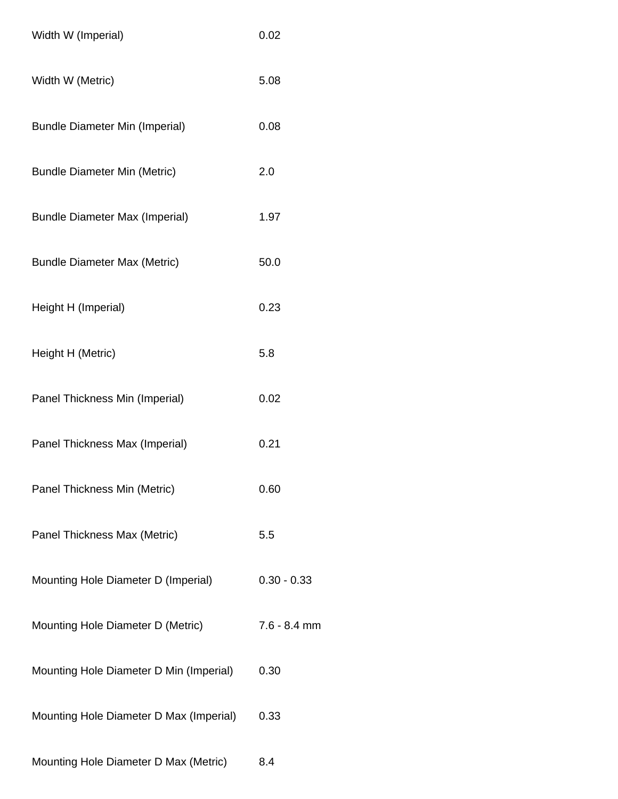| Width W (Imperial)                      | 0.02           |
|-----------------------------------------|----------------|
| Width W (Metric)                        | 5.08           |
| <b>Bundle Diameter Min (Imperial)</b>   | 0.08           |
| <b>Bundle Diameter Min (Metric)</b>     | 2.0            |
| <b>Bundle Diameter Max (Imperial)</b>   | 1.97           |
| <b>Bundle Diameter Max (Metric)</b>     | 50.0           |
| Height H (Imperial)                     | 0.23           |
| Height H (Metric)                       | 5.8            |
| Panel Thickness Min (Imperial)          | 0.02           |
| Panel Thickness Max (Imperial)          | 0.21           |
| Panel Thickness Min (Metric)            | 0.60           |
| Panel Thickness Max (Metric)            | 5.5            |
| Mounting Hole Diameter D (Imperial)     | $0.30 - 0.33$  |
| Mounting Hole Diameter D (Metric)       | $7.6 - 8.4$ mm |
| Mounting Hole Diameter D Min (Imperial) | 0.30           |
| Mounting Hole Diameter D Max (Imperial) | 0.33           |
| Mounting Hole Diameter D Max (Metric)   | 8.4            |